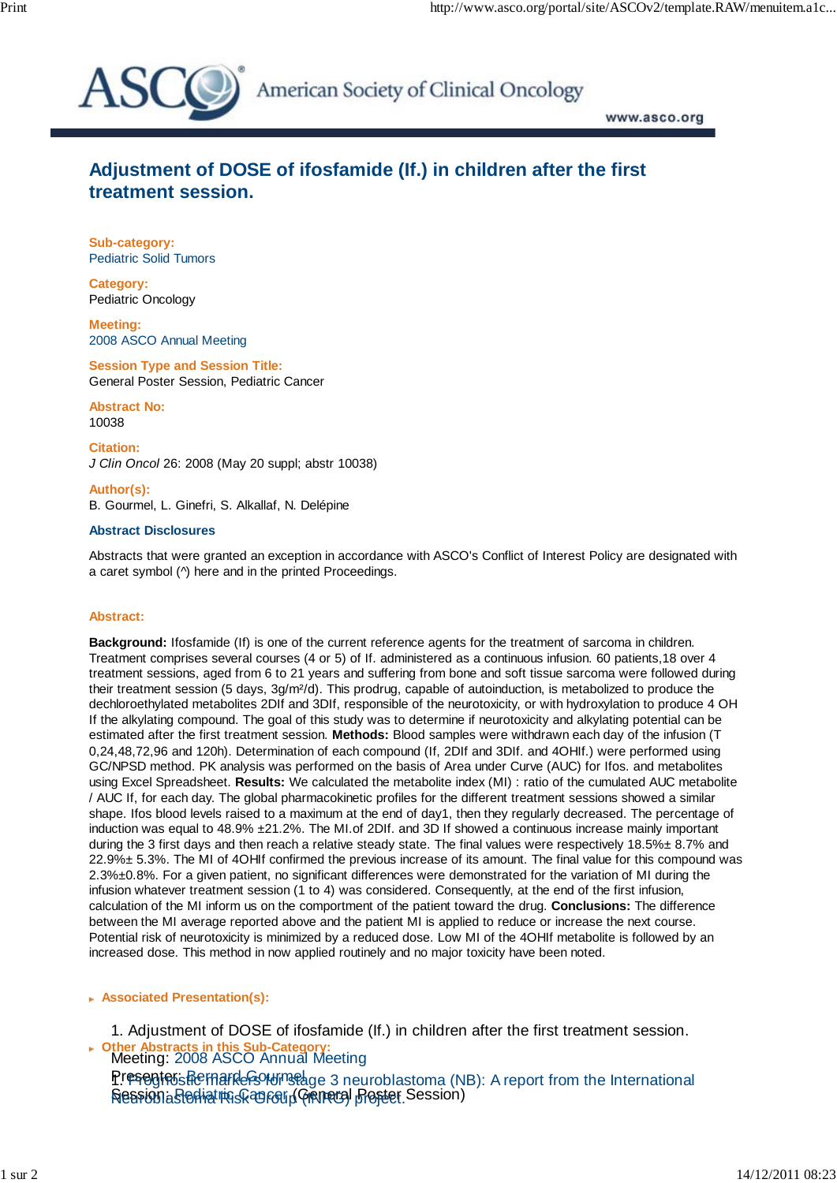

American Society of Clinical Oncology

www.asco.org

## **Adjustment of DOSE of ifosfamide (If.) in children after the first treatment session.**

**Sub-category:** Pediatric Solid Tumors

**Category:** Pediatric Oncology

**Meeting:** 2008 ASCO Annual Meeting

**Session Type and Session Title:** General Poster Session, Pediatric Cancer

**Abstract No:** 10038

**Citation:** *J Clin Oncol* 26: 2008 (May 20 suppl; abstr 10038)

**Author(s):** B. Gourmel, L. Ginefri, S. Alkallaf, N. Delépine

## **Abstract Disclosures**

Abstracts that were granted an exception in accordance with ASCO's Conflict of Interest Policy are designated with a caret symbol (^) here and in the printed Proceedings.

## **Abstract:**

**Background:** Ifosfamide (If) is one of the current reference agents for the treatment of sarcoma in children. Treatment comprises several courses (4 or 5) of If. administered as a continuous infusion. 60 patients,18 over 4 treatment sessions, aged from 6 to 21 years and suffering from bone and soft tissue sarcoma were followed during their treatment session (5 days, 3g/m<sup>2</sup>/d). This prodrug, capable of autoinduction, is metabolized to produce the dechloroethylated metabolites 2DIf and 3DIf, responsible of the neurotoxicity, or with hydroxylation to produce 4 OH If the alkylating compound. The goal of this study was to determine if neurotoxicity and alkylating potential can be estimated after the first treatment session. **Methods:** Blood samples were withdrawn each day of the infusion (T 0,24,48,72,96 and 120h). Determination of each compound (If, 2DIf and 3DIf. and 4OHIf.) were performed using GC/NPSD method. PK analysis was performed on the basis of Area under Curve (AUC) for Ifos. and metabolites using Excel Spreadsheet. **Results:** We calculated the metabolite index (MI) : ratio of the cumulated AUC metabolite / AUC If, for each day. The global pharmacokinetic profiles for the different treatment sessions showed a similar shape. Ifos blood levels raised to a maximum at the end of day1, then they regularly decreased. The percentage of induction was equal to 48.9% ±21.2%. The MI.of 2DIf. and 3D If showed a continuous increase mainly important during the 3 first days and then reach a relative steady state. The final values were respectively 18.5%± 8.7% and 22.9%± 5.3%. The MI of 4OHIf confirmed the previous increase of its amount. The final value for this compound was 2.3%±0.8%. For a given patient, no significant differences were demonstrated for the variation of MI during the infusion whatever treatment session (1 to 4) was considered. Consequently, at the end of the first infusion, calculation of the MI inform us on the comportment of the patient toward the drug. **Conclusions:** The difference between the MI average reported above and the patient MI is applied to reduce or increase the next course. Potential risk of neurotoxicity is minimized by a reduced dose. Low MI of the 4OHIf metabolite is followed by an increased dose. This method in now applied routinely and no major toxicity have been noted.

 **Associated Presentation(s):**

1. Adjustment of DOSE of ifosfamide (If.) in children after the first treatment session.

Meeting: 2008 ASCO Annual Meeting  **Other Abstracts in this Sub-Category:** Presentes Remarkers Minseage 3 neuroblastoma (NB): A report from the International **Nession a Rediat iki Skan Group (Gikineral Broster Session)**